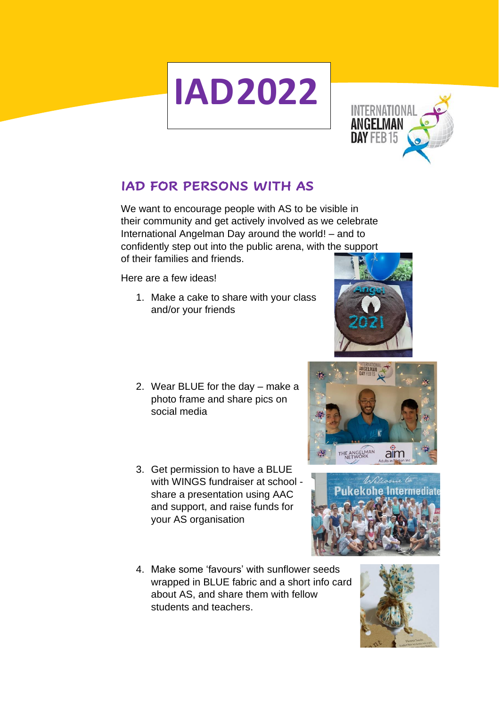## **IAD2022**



## **IAD FOR PERSONS WITH AS**

We want to encourage people with AS to be visible in their community and get actively involved as we celebrate International Angelman Day around the world! – and to confidently step out into the public arena, with the support of their families and friends.

Here are a few ideas!

- 1. Make a cake to share with your class and/or your friends
- 2. Wear BLUE for the day make a photo frame and share pics on social media
- 3. Get permission to have a BLUE with WINGS fundraiser at school share a presentation using AAC and support, and raise funds for your AS organisation
- 4. Make some 'favours' with sunflower seeds wrapped in BLUE fabric and a short info card about AS, and share them with fellow students and teachers.







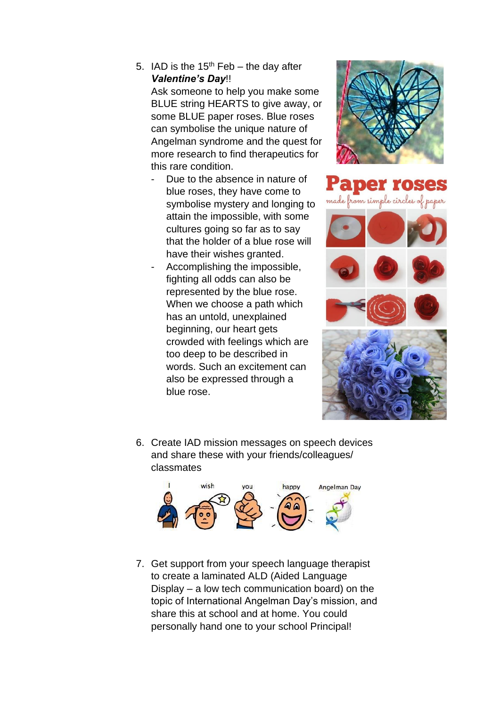5. IAD is the  $15<sup>th</sup>$  Feb – the day after *Valentine's Day*!!

Ask someone to help you make some BLUE string HEARTS to give away, or some BLUE paper roses. Blue roses can symbolise the unique nature of Angelman syndrome and the quest for more research to find therapeutics for this rare condition.

- Due to the absence in nature of blue roses, they have come to symbolise mystery and longing to attain the impossible, with some cultures going so far as to say that the holder of a blue rose will have their wishes granted.
- Accomplishing the impossible, fighting all odds can also be represented by the blue rose. When we choose a path which has an untold, unexplained beginning, our heart gets crowded with feelings which are too deep to be described in words. Such an excitement can also be expressed through a blue rose.





6. Create IAD mission messages on speech devices and share these with your friends/colleagues/ classmates



7. Get support from your speech language therapist to create a laminated ALD (Aided Language Display – a low tech communication board) on the topic of International Angelman Day's mission, and share this at school and at home. You could personally hand one to your school Principal!